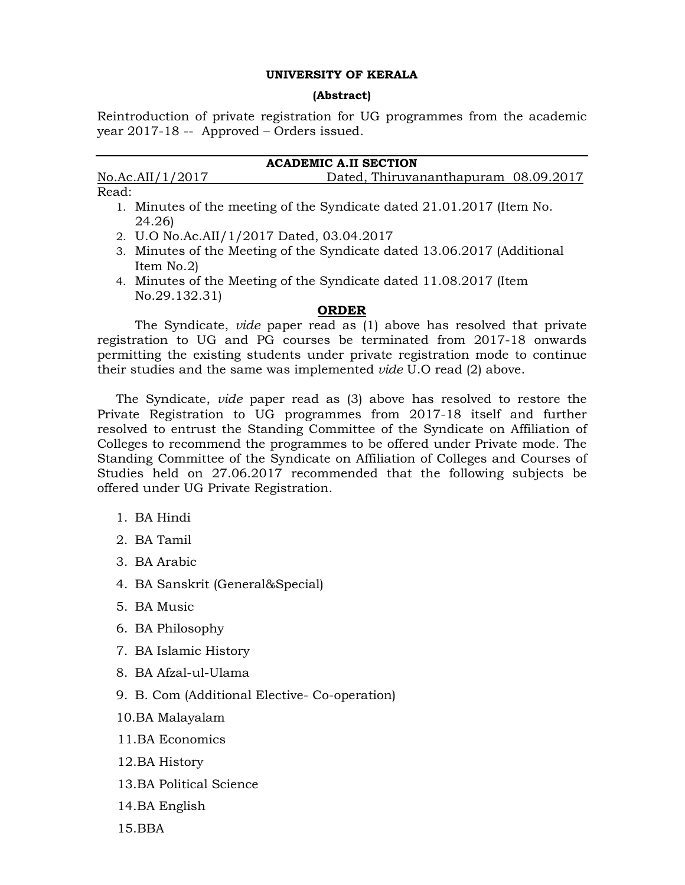## UNIVERSITY OF KERALA

#### (Abstract)

Reintroduction of private registration for UG programmes from the academic year 2017-18 -- Approved – Orders issued.

# ACADEMIC A.II SECTION

No.Ac.AII/1/2017 Dated, Thiruvananthapuram 08.09.2017 Read:

- 1. Minutes of the meeting of the Syndicate dated 21.01.2017 (Item No. 24.26)
- 2. U.O No.Ac.AII/1/2017 Dated, 03.04.2017
- 3. Minutes of the Meeting of the Syndicate dated 13.06.2017 (Additional Item No.2)
- 4. Minutes of the Meeting of the Syndicate dated 11.08.2017 (Item No.29.132.31)

## ORDER

The Syndicate, vide paper read as (1) above has resolved that private registration to UG and PG courses be terminated from 2017-18 onwards permitting the existing students under private registration mode to continue their studies and the same was implemented vide U.O read (2) above.

The Syndicate, vide paper read as (3) above has resolved to restore the Private Registration to UG programmes from 2017-18 itself and further resolved to entrust the Standing Committee of the Syndicate on Affiliation of Colleges to recommend the programmes to be offered under Private mode. The Standing Committee of the Syndicate on Affiliation of Colleges and Courses of Studies held on 27.06.2017 recommended that the following subjects be offered under UG Private Registration.

- 1. BA Hindi
- 2. BA Tamil
- 3. BA Arabic
- 4. BA Sanskrit (General&Special)
- 5. BA Music
- 6. BA Philosophy
- 7. BA Islamic History
- 8. BA Afzal-ul-Ulama
- 9. B. Com (Additional Elective- Co-operation)
- 10.BA Malayalam
- 11.BA Economics
- 12.BA History
- 13.BA Political Science
- 14.BA English
- 15.BBA